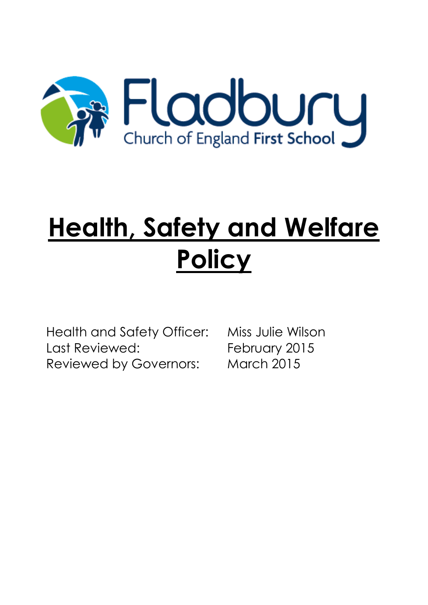

# **Health, Safety and Welfare Policy**

Health and Safety Officer: Miss Julie Wilson Last Reviewed: February 2015 Reviewed by Governors: March 2015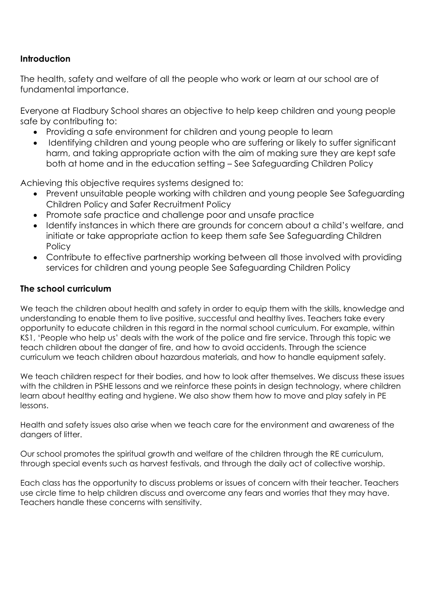# **Introduction**

The health, safety and welfare of all the people who work or learn at our school are of fundamental importance.

Everyone at Fladbury School shares an objective to help keep children and young people safe by contributing to:

- Providing a safe environment for children and young people to learn
- Identifying children and young people who are suffering or likely to suffer significant harm, and taking appropriate action with the aim of making sure they are kept safe both at home and in the education setting – [See Safeguarding Children Policy](file:///C:/Users/melanim/AppData/Local/Microsoft/Windows/Temporary%20Internet%20Files/OLK7986/Safeguarding%20Children%20Policy.doc)

Achieving this objective requires systems designed to:

- Prevent unsuitable people working with children and young people [See Safeguarding](file:///C:/Users/melanim/AppData/Local/Microsoft/Windows/Temporary%20Internet%20Files/OLK7986/Safeguarding%20Children%20Policy.doc)  [Children Policy](file:///C:/Users/melanim/AppData/Local/Microsoft/Windows/Temporary%20Internet%20Files/OLK7986/Safeguarding%20Children%20Policy.doc) and Safer Recruitment Policy
- Promote safe practice and challenge poor and unsafe practice
- Identify instances in which there are grounds for concern about a child's welfare, and initiate or take appropriate action to keep them safe [See Safeguarding Children](file:///C:/Users/melanim/AppData/Local/Microsoft/Windows/Temporary%20Internet%20Files/OLK7986/Safeguarding%20Children%20Policy.doc)  **[Policy](file:///C:/Users/melanim/AppData/Local/Microsoft/Windows/Temporary%20Internet%20Files/OLK7986/Safeguarding%20Children%20Policy.doc)**
- Contribute to effective partnership working between all those involved with providing services for children and young people [See Safeguarding Children Policy](file:///C:/Users/melanim/AppData/Local/Microsoft/Windows/Temporary%20Internet%20Files/OLK7986/Safeguarding%20Children%20Policy.doc)

#### **The school curriculum**

We teach the children about health and safety in order to equip them with the skills, knowledge and understanding to enable them to live positive, successful and healthy lives. Teachers take every opportunity to educate children in this regard in the normal school curriculum. For example, within KS1, 'People who help us' deals with the work of the police and fire service. Through this topic we teach children about the danger of fire, and how to avoid accidents. Through the science curriculum we teach children about hazardous materials, and how to handle equipment safely.

We teach children respect for their bodies, and how to look after themselves. We discuss these issues with the children in PSHE lessons and we reinforce these points in design technology, where children learn about healthy eating and hygiene. We also show them how to move and play safely in PE lessons.

Health and safety issues also arise when we teach care for the environment and awareness of the dangers of litter.

Our school promotes the spiritual growth and welfare of the children through the RE curriculum, through special events such as harvest festivals, and through the daily act of collective worship.

Each class has the opportunity to discuss problems or issues of concern with their teacher. Teachers use circle time to help children discuss and overcome any fears and worries that they may have. Teachers handle these concerns with sensitivity.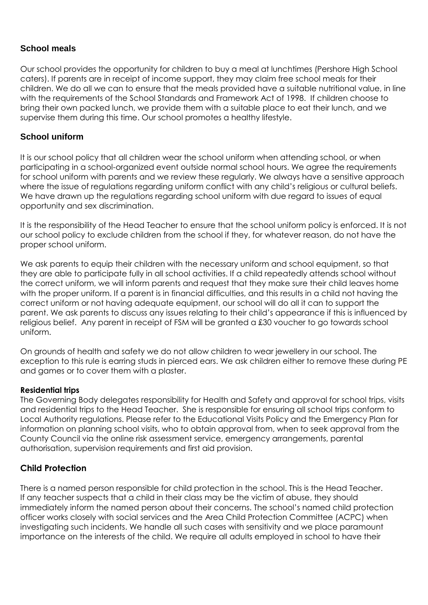#### **School meals**

Our school provides the opportunity for children to buy a meal at lunchtimes (Pershore High School caters). If parents are in receipt of income support, they may claim free school meals for their children. We do all we can to ensure that the meals provided have a suitable nutritional value, in line with the requirements of the School Standards and Framework Act of 1998. If children choose to bring their own packed lunch, we provide them with a suitable place to eat their lunch, and we supervise them during this time. Our school promotes a healthy lifestyle.

#### **School uniform**

It is our school policy that all children wear the school uniform when attending school, or when participating in a school-organized event outside normal school hours. We agree the requirements for school uniform with parents and we review these regularly. We always have a sensitive approach where the issue of regulations regarding uniform conflict with any child's religious or cultural beliefs. We have drawn up the regulations regarding school uniform with due regard to issues of equal opportunity and sex discrimination.

It is the responsibility of the Head Teacher to ensure that the school uniform policy is enforced. It is not our school policy to exclude children from the school if they, for whatever reason, do not have the proper school uniform.

We ask parents to equip their children with the necessary uniform and school equipment, so that they are able to participate fully in all school activities. If a child repeatedly attends school without the correct uniform, we will inform parents and request that they make sure their child leaves home with the proper uniform. If a parent is in financial difficulties, and this results in a child not having the correct uniform or not having adequate equipment, our school will do all it can to support the parent. We ask parents to discuss any issues relating to their child's appearance if this is influenced by religious belief. Any parent in receipt of FSM will be granted a £30 voucher to go towards school uniform.

On grounds of health and safety we do not allow children to wear jewellery in our school. The exception to this rule is earring studs in pierced ears. We ask children either to remove these during PE and games or to cover them with a plaster.

#### **Residential trips**

The Governing Body delegates responsibility for Health and Safety and approval for school trips, visits and residential trips to the Head Teacher. She is responsible for ensuring all school trips conform to Local Authority regulations. Please refer to the Educational Visits Policy and the Emergency Plan for information on planning school visits, who to obtain approval from, when to seek approval from the County Council via the online risk assessment service, emergency arrangements, parental authorisation, supervision requirements and first aid provision.

#### **Child Protection**

There is a named person responsible for child protection in the school. This is the Head Teacher. If any teacher suspects that a child in their class may be the victim of abuse, they should immediately inform the named person about their concerns. The school's named child protection officer works closely with social services and the Area Child Protection Committee (ACPC) when investigating such incidents. We handle all such cases with sensitivity and we place paramount importance on the interests of the child. We require all adults employed in school to have their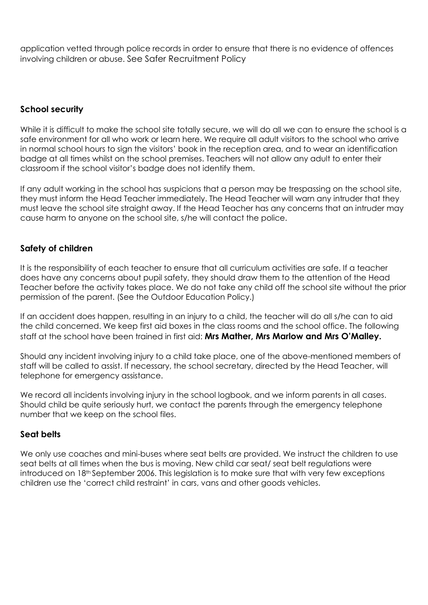application vetted through police records in order to ensure that there is no evidence of offences involving children or abuse. [See Safer Recruitment Policy](file:///C:/Users/melanim/AppData/Local/Microsoft/Windows/Temporary%20Internet%20Files/OLK7986/Safer%20Recruitment%20Policy.doc)

# **School security**

While it is difficult to make the school site totally secure, we will do all we can to ensure the school is a safe environment for all who work or learn here. We require all adult visitors to the school who arrive in normal school hours to sign the visitors' book in the reception area, and to wear an identification badge at all times whilst on the school premises. Teachers will not allow any adult to enter their classroom if the school visitor's badge does not identify them.

If any adult working in the school has suspicions that a person may be trespassing on the school site, they must inform the Head Teacher immediately. The Head Teacher will warn any intruder that they must leave the school site straight away. If the Head Teacher has any concerns that an intruder may cause harm to anyone on the school site, s/he will contact the police.

# **Safety of children**

It is the responsibility of each teacher to ensure that all curriculum activities are safe. If a teacher does have any concerns about pupil safety, they should draw them to the attention of the Head Teacher before the activity takes place. We do not take any child off the school site without the prior permission of the parent. (See the Outdoor Education Policy.)

If an accident does happen, resulting in an injury to a child, the teacher will do all s/he can to aid the child concerned. We keep first aid boxes in the class rooms and the school office. The following staff at the school have been trained in first aid: **Mrs Mather, Mrs Marlow and Mrs O'Malley.**

Should any incident involving injury to a child take place, one of the above-mentioned members of staff will be called to assist. If necessary, the school secretary, directed by the Head Teacher, will telephone for emergency assistance.

We record all incidents involving injury in the school logbook, and we inform parents in all cases. Should child be quite seriously hurt, we contact the parents through the emergency telephone number that we keep on the school files.

#### **Seat belts**

We only use coaches and mini-buses where seat belts are provided. We instruct the children to use seat belts at all times when the bus is moving. New child car seat/ seat belt regulations were introduced on 18th September 2006. This legislation is to make sure that with very few exceptions children use the 'correct child restraint' in cars, vans and other goods vehicles.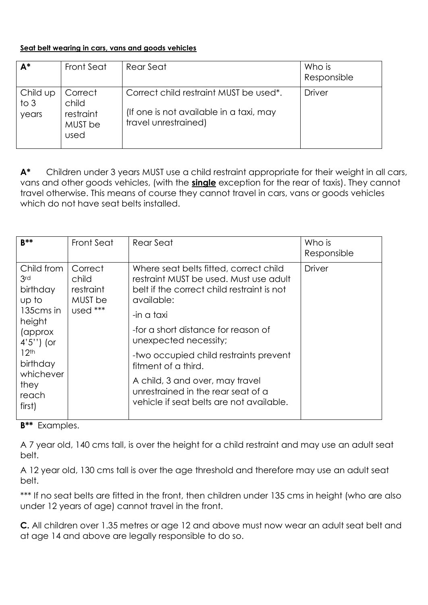#### **Seat belt wearing in cars, vans and goods vehicles**

| $A^*$                     | <b>Front Seat</b>                                | Rear Seat                                                                                                              | Who is<br>Responsible |
|---------------------------|--------------------------------------------------|------------------------------------------------------------------------------------------------------------------------|-----------------------|
| Child up<br>to 3<br>years | Correct<br>child<br>restraint<br>MUST be<br>used | Correct child restraint MUST be used <sup>*</sup> .<br>(If one is not available in a taxi, may<br>travel unrestrained) | <b>Driver</b>         |

**A\*** Children under 3 years MUST use a child restraint appropriate for their weight in all cars, vans and other goods vehicles, (with the **single** exception for the rear of taxis). They cannot travel otherwise. This means of course they cannot travel in cars, vans or goods vehicles which do not have seat belts installed.

| $B***$                                                                                                                                                  | Front Seat                                           | Rear Seat                                                                                                                                                                                                                                                                                                                                                            | Who is<br>Responsible |
|---------------------------------------------------------------------------------------------------------------------------------------------------------|------------------------------------------------------|----------------------------------------------------------------------------------------------------------------------------------------------------------------------------------------------------------------------------------------------------------------------------------------------------------------------------------------------------------------------|-----------------------|
| Child from<br>3rd<br>birthday<br>up to<br>135cms in<br>height<br>(approx)<br>$4'5'$ ) (or<br>12 <sup>th</sup><br>birthday<br>whichever<br>they<br>reach | Correct<br>child<br>restraint<br>MUST be<br>used *** | Where seat belts fitted, correct child<br>restraint MUST be used. Must use adult<br>belt if the correct child restraint is not<br>available:<br>-in a taxi<br>-for a short distance for reason of<br>unexpected necessity;<br>-two occupied child restraints prevent<br>fitment of a third.<br>A child, 3 and over, may travel<br>unrestrained in the rear seat of a | <b>Driver</b>         |
| first)                                                                                                                                                  |                                                      | vehicle if seat belts are not available.                                                                                                                                                                                                                                                                                                                             |                       |

**B\*\*** Examples.

A 7 year old, 140 cms tall, is over the height for a child restraint and may use an adult seat belt.

A 12 year old, 130 cms tall is over the age threshold and therefore may use an adult seat belt.

\*\*\* If no seat belts are fitted in the front, then children under 135 cms in height (who are also under 12 years of age) cannot travel in the front.

**C.** All children over 1.35 metres or age 12 and above must now wear an adult seat belt and at age 14 and above are legally responsible to do so.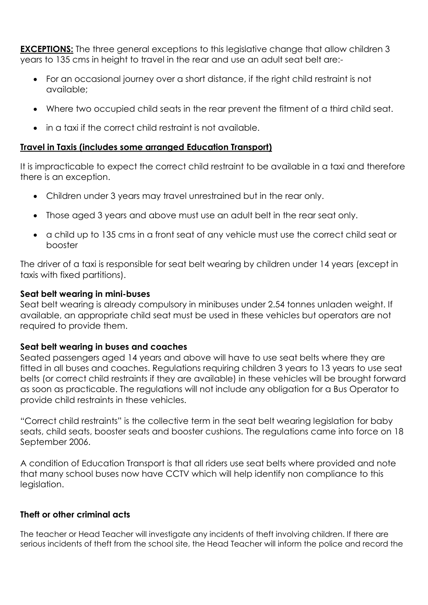**EXCEPTIONS:** The three general exceptions to this legislative change that allow children 3 years to 135 cms in height to travel in the rear and use an adult seat belt are:-

- For an occasional journey over a short distance, if the right child restraint is not available;
- Where two occupied child seats in the rear prevent the fitment of a third child seat.
- in a taxi if the correct child restraint is not available.

## **Travel in Taxis (includes some arranged Education Transport)**

It is impracticable to expect the correct child restraint to be available in a taxi and therefore there is an exception.

- Children under 3 years may travel unrestrained but in the rear only.
- Those aged 3 years and above must use an adult belt in the rear seat only.
- a child up to 135 cms in a front seat of any vehicle must use the correct child seat or booster

The driver of a taxi is responsible for seat belt wearing by children under 14 years (except in taxis with fixed partitions).

#### **Seat belt wearing in mini-buses**

Seat belt wearing is already compulsory in minibuses under 2.54 tonnes unladen weight. If available, an appropriate child seat must be used in these vehicles but operators are not required to provide them.

#### **Seat belt wearing in buses and coaches**

Seated passengers aged 14 years and above will have to use seat belts where they are fitted in all buses and coaches. Regulations requiring children 3 years to 13 years to use seat belts (or correct child restraints if they are available) in these vehicles will be brought forward as soon as practicable. The regulations will not include any obligation for a Bus Operator to provide child restraints in these vehicles.

"Correct child restraints" is the collective term in the seat belt wearing legislation for baby seats, child seats, booster seats and booster cushions. The regulations came into force on 18 September 2006.

A condition of Education Transport is that all riders use seat belts where provided and note that many school buses now have CCTV which will help identify non compliance to this legislation.

#### **Theft or other criminal acts**

The teacher or Head Teacher will investigate any incidents of theft involving children. If there are serious incidents of theft from the school site, the Head Teacher will inform the police and record the